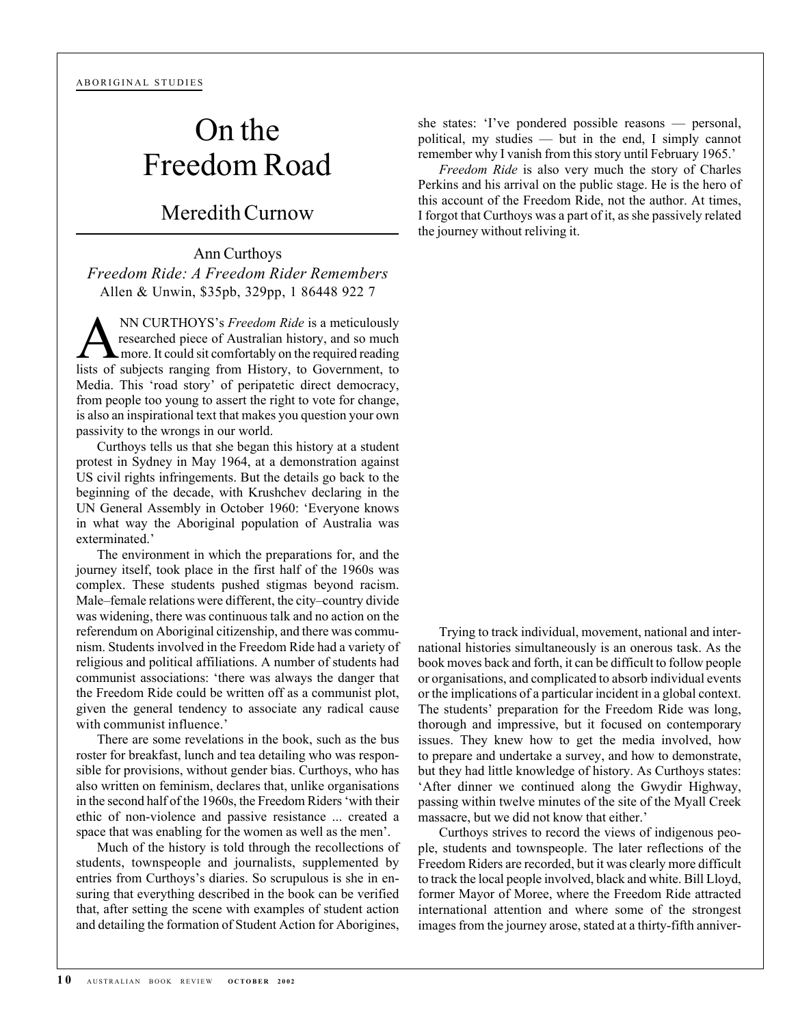## On the Freedom Road

## Meredith Curnow

Ann Curthoys *Freedom Ride: A Freedom Rider Remembers* Allen & Unwin, \$35pb, 329pp, 1 86448 922 7

**ANN CURTHOYS's** *Freedom Ride* is a meticulously researched piece of Australian history, and so much more. It could sit comfortably on the required reading researched piece of Australian history, and so much lists of subjects ranging from History, to Government, to Media. This 'road story' of peripatetic direct democracy, from people too young to assert the right to vote for change, is also an inspirational text that makes you question your own passivity to the wrongs in our world.

Curthoys tells us that she began this history at a student protest in Sydney in May 1964, at a demonstration against US civil rights infringements. But the details go back to the beginning of the decade, with Krushchev declaring in the UN General Assembly in October 1960: 'Everyone knows in what way the Aboriginal population of Australia was exterminated.'

The environment in which the preparations for, and the journey itself, took place in the first half of the 1960s was complex. These students pushed stigmas beyond racism. Male–female relations were different, the city–country divide was widening, there was continuous talk and no action on the referendum on Aboriginal citizenship, and there was communism. Students involved in the Freedom Ride had a variety of religious and political affiliations. A number of students had communist associations: 'there was always the danger that the Freedom Ride could be written off as a communist plot, given the general tendency to associate any radical cause with communist influence.'

There are some revelations in the book, such as the bus roster for breakfast, lunch and tea detailing who was responsible for provisions, without gender bias. Curthoys, who has also written on feminism, declares that, unlike organisations in the second half of the 1960s, the Freedom Riders 'with their ethic of non-violence and passive resistance ... created a space that was enabling for the women as well as the men'.

Much of the history is told through the recollections of students, townspeople and journalists, supplemented by entries from Curthoys's diaries. So scrupulous is she in ensuring that everything described in the book can be verified that, after setting the scene with examples of student action and detailing the formation of Student Action for Aborigines,

she states: 'I've pondered possible reasons — personal, political, my studies — but in the end, I simply cannot remember why I vanish from this story until February 1965.'

*Freedom Ride* is also very much the story of Charles Perkins and his arrival on the public stage. He is the hero of this account of the Freedom Ride, not the author. At times, I forgot that Curthoys was a part of it, as she passively related the journey without reliving it.

Trying to track individual, movement, national and international histories simultaneously is an onerous task. As the book moves back and forth, it can be difficult to follow people or organisations, and complicated to absorb individual events or the implications of a particular incident in a global context. The students' preparation for the Freedom Ride was long, thorough and impressive, but it focused on contemporary issues. They knew how to get the media involved, how to prepare and undertake a survey, and how to demonstrate, but they had little knowledge of history. As Curthoys states: 'After dinner we continued along the Gwydir Highway, passing within twelve minutes of the site of the Myall Creek massacre, but we did not know that either.'

Curthoys strives to record the views of indigenous people, students and townspeople. The later reflections of the Freedom Riders are recorded, but it was clearly more difficult to track the local people involved, black and white. Bill Lloyd, former Mayor of Moree, where the Freedom Ride attracted international attention and where some of the strongest images from the journey arose, stated at a thirty-fifth anniver-